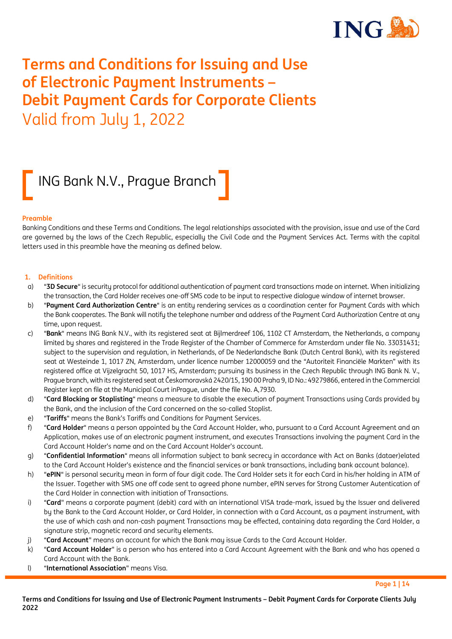

# **Terms and Conditions for Issuing and Use of Electronic Payment Instruments – Debit Payment Cards for Corporate Clients** Valid from July 1, 2022

# ING Bank N.V., Prague Branch

#### **Preamble**

Banking Conditions and these Terms and Conditions. The legal relationships associated with the provision, issue and use of the Card are governed by the laws of the Czech Republic, especially the Civil Code and the Payment Services Act. Terms with the capital letters used in this preamble have the meaning as defined below.

#### **1. Definitions**

- a) "**3D Secure**"is security protocol for additional authentication of payment card transactions made on internet. When initializing the transaction, the Card Holder receives one-off SMS code to be input to respective dialogue window of internet browser.
- b) "**Payment Card Authorization Centre**" is an entity rendering services as a coordination center for Payment Cards with which the Bank cooperates. The Bank will notify the telephone number and address of the Payment Card Authorization Centre at any time, upon request.
- c) "**Bank**" means ING Bank N.V., with its registered seat at Bijlmerdreef 106, 1102 CT Amsterdam, the Netherlands, a company limited by shares and registered in the Trade Register of the Chamber of Commerce for Amsterdam under file No. 33031431; subject to the supervision and regulation, in Netherlands, of De Nederlandsche Bank (Dutch Central Bank), with its registered seat at Westeinde 1, 1017 ZN, Amsterdam, under licence number 12000059 and the "Autoriteit Financiële Markten" with its registered office at Vijzelgracht 50, 1017 HS, Amsterdam; pursuing its business in the Czech Republic through ING Bank N. V., Prague branch, with its registered seat at Českomoravská 2420/15, 190 00 Praha 9, ID No.: 49279866, entered in the Commercial Register kept on file at the Municipal Court inPrague, under the file No. A,7930.
- d) "**Card Blocking or Stoplisting**" means a measure to disable the execution of payment Transactions using Cards provided by the Bank, and the inclusion of the Card concerned on the so-called Stoplist.
- e) "**Tariffs**" means the Bank's Tariffs and Conditions for Payment Services.
- f) "**Card Holder**" means a person appointed by the Card Account Holder, who, pursuant to a Card Account Agreement and an Application, makes use of an electronic payment instrument, and executes Transactions involving the payment Card in the Card Account Holder's name and on the Card Account Holder's account.
- g) "**Confidential Information**" means all information subject to bank secrecy in accordance with Act on Banks (dataer)elated to the Card Account Holder's existence and the financial services or bank transactions, including bank account balance).
- h) "**ePIN**" is personal security mean in form of four digit code. The Card Holder sets it for each Card in his/her holding in ATM of the Issuer. Together with SMS one off code sent to agreed phone number, ePIN serves for Strong Customer Autentication of the Card Holder in connection with initiation of Transactions.
- i) "**Card**" means a corporate payment (debit) card with an international VISA trade-mark, issued by the Issuer and delivered by the Bank to the Card Account Holder, or Card Holder, in connection with a Card Account, as a payment instrument, with the use of which cash and non-cash payment Transactions may be effected, containing data regarding the Card Holder, a signature strip, magnetic record and security elements.
- j) "**Card Account**" means an account for which the Bank may issue Cards to the Card Account Holder.
- k) "**Card Account Holder**" is a person who has entered into a Card Account Agreement with the Bank and who has opened a Card Account with the Bank.
- l) "**International Association**" means Visa.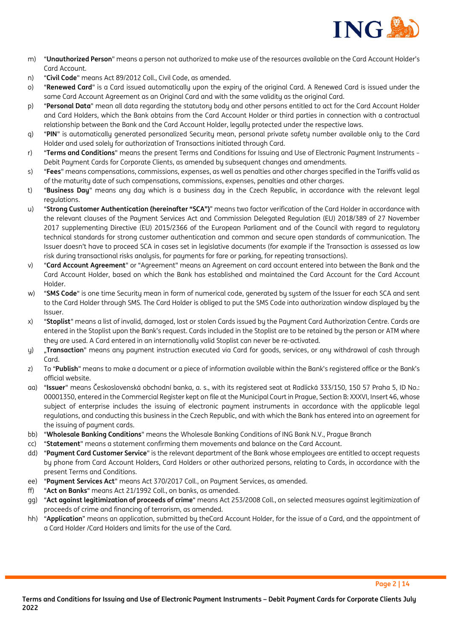

- m) "**Unauthorized Person**" means a person not authorized to make use of the resources available on the Card Account Holder's Card Account.
- n) "**Civil Code**" means Act 89/2012 Coll., Civil Code, as amended.
- o) "**Renewed Card**" is a Card issued automatically upon the expiry of the original Card. A Renewed Card is issued under the same Card Account Agreement as an Original Card and with the same validity as the original Card.
- p) "**Personal Data**" mean all data regarding the statutory body and other persons entitled to act for the Card Account Holder and Card Holders, which the Bank obtains from the Card Account Holder or third parties in connection with a contractual relationship between the Bank and the Card Account Holder, legally protected under the respective laws.
- q) "**PIN**" is automatically generated personalized Security mean, personal private safety number available only to the Card Holder and used solely for authorization of Transactions initiated through Card.
- r) "**Terms and Conditions**" means the present Terms and Conditions for Issuing and Use of Electronic Payment Instruments Debit Payment Cards for Corporate Clients, as amended by subsequent changes and amendments.
- s) "**Fees**" means compensations, commissions, expenses, as well as penalties and other charges specified in the Tariffs valid as of the maturity date of such compensations, commissions, expenses, penalties and other charges.
- t) "**Business Day**" means any day which is a business day in the Czech Republic, in accordance with the relevant legal regulations.
- u) "**Strong Customer Authentication (hereinafter "SCA")**" means two factor verification of the Card Holder in accordance with the relevant clauses of the Payment Services Act and Commission Delegated Regulation (EU) 2018/389 of 27 November 2017 supplementing Directive (EU) 2015/2366 of the European Parliament and of the Council with regard to regulatory technical standards for strong customer authentication and common and secure open standards of communication. The Issuer doesn't have to proceed SCA in cases set in legislative documents (for example if the Transaction is assessed as low risk during transactional risks analysis, for payments for fare or parking, for repeating transactions).
- v) "**Card Account Agreement**" or "Agreement" means an Agreement on card account entered into between the Bank and the Card Account Holder, based on which the Bank has established and maintained the Card Account for the Card Account Holder.
- w) "**SMS Code**" is one time Security mean in form of numerical code, generated by system of the Issuer for each SCA and sent to the Card Holder through SMS. The Card Holder is obliged to put the SMS Code into authorization window displayed by the Issuer.
- x) "**Stoplist**" means a list of invalid, damaged, lost or stolen Cards issued by the Payment Card Authorization Centre. Cards are entered in the Stoplist upon the Bank's request. Cards included in the Stoplist are to be retained by the person or ATM where they are used. A Card entered in an internationally valid Stoplist can never be re-activated.
- y) "**Transaction**" means any payment instruction executed via Card for goods, services, or any withdrawal of cash through Card.
- z) To "**Publish**" means to make a document or a piece of information available within the Bank's registered office or the Bank's official website.
- aa) "**Issuer**" means Československá obchodní banka, a. s., with its registered seat at Radlická 333/150, 150 57 Praha 5, ID No.: 00001350, entered in the Commercial Register kept on file at the Municipal Court in Prague, Section B: XXXVI, Insert 46, whose subject of enterprise includes the issuing of electronic payment instruments in accordance with the applicable legal regulations, and conducting this business in the Czech Republic, and with which the Bank has entered into an agreement for the issuing of payment cards.
- bb) "**Wholesale Banking Conditions**" means the Wholesale Banking Conditions of ING Bank N.V., Prague Branch
- cc) "**Statement**" means a statement confirming them movements and balance on the Card Account.
- dd) "**Payment Card Customer Service**" is the relevant department of the Bank whose employees are entitled to accept requests by phone from Card Account Holders, Card Holders or other authorized persons, relating to Cards, in accordance with the present Terms and Conditions.
- ee) "**Payment Services Act**" means Act 370/2017 Coll., on Payment Services, as amended.
- ff) "**Act on Banks**" means Act 21/1992 Coll., on banks, as amended.
- gg) "**Act against legitimization of proceeds of crime**" means Act 253/2008 Coll., on selected measures against legitimization of proceeds of crime and financing of terrorism, as amended.
- hh) "**Application**" means an application, submitted by theCard Account Holder, for the issue of a Card, and the appointment of a Card Holder /Card Holders and limits for the use of the Card.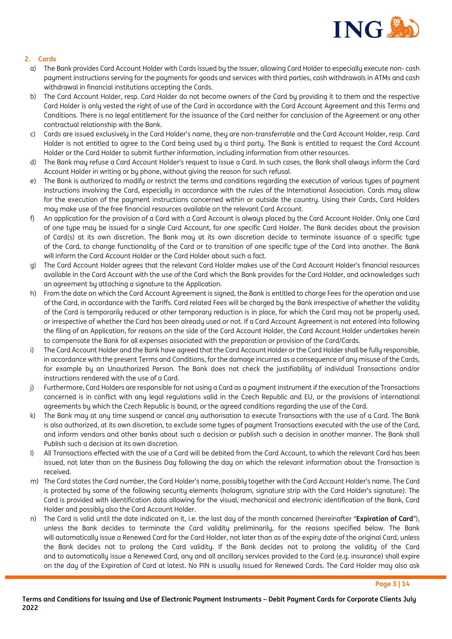

# **2. Cards**

- a) The Bank provides Card Account Holder with Cards issued by the Issuer, allowing Card Holder to especially execute non- cash payment instructions serving for the payments for goods and services with third parties, cash withdrawals in ATMs and cash withdrawal in financial institutions accepting the Cards.
- b) The Card Account Holder, resp. Card Holder do not become owners of the Card by providing it to them and the respective Card Holder is only vested the right of use of the Card in accordance with the Card Account Agreement and this Terms and Conditions. There is no legal entitlement for the issuance of the Card neither for conclusion of the Agreement or any other contractual relationship with the Bank.
- c) Cards are issued exclusively in the Card Holder's name, they are non-transferrable and the Card Account Holder, resp. Card Holder is not entitled to agree to the Card being used by a third party. The Bank is entitled to request the Card Account Holder or the Card Holder to submit further information, including information from other resources.
- d) The Bank may refuse a Card Account Holder's request to issue a Card. In such cases, the Bank shall always inform the Card Account Holder in writing or by phone, without giving the reason for such refusal.
- e) The Bank is authorized to modifu or restrict the terms and conditions regarding the execution of various tupes of payment instructions involving the Card, especially in accordance with the rules of the International Association. Cards may allow for the execution of the payment instructions concerned within or outside the country. Using their Cards, Card Holders may make use of the free financial resources available on the relevant Card Account.
- f) An application for the provision of a Card with a Card Account is always placed by the Card Account Holder. Only one Card of one type may be issued for a single Card Account, for one specific Card Holder. The Bank decides about the provision of Card(s) at its own discretion. The Bank may at its own discretion decide to terminate issuance of a specific type of the Card, to change functionality of the Card or to transition of one specific type of the Card into another. The Bank will inform the Card Account Holder or the Card Holder about such a fact.
- g) The Card Account Holder agrees that the relevant Card Holder makes use of the Card Account Holder's financial resources available in the Card Account with the use of the Card which the Bank provides for the Card Holder, and acknowledges such an agreement by attaching a signature to the Application.
- h) From the date on which the Card Account Agreement is signed, the Bank is entitled to charge Fees for the operation and use of the Card, in accordance with the Tariffs. Card related Fees will be charged by the Bank irrespective of whether the validity of the Card is temporarily reduced or other temporary reduction is in place, for which the Card may not be properly used, or irrespective of whether the Card has been already used or not. If a Card Account Agreement is not entered into following the filing of an Application, for reasons on the side of the Card Account Holder, the Card Account Holder undertakes herein to compensate the Bank for all expenses associated with the preparation or provision of the Card/Cards.
- i) The Card Account Holder and the Bank have agreed that the Card Account Holder or the Card Holder shall be fully responsible, in accordance with the present Terms and Conditions, for the damage incurred as a consequence of any misuse of the Cards, for example by an Unauthorized Person. The Bank does not check the justifiability of individual Transactions and/or instructions rendered with the use of a Card.
- j) Furthermore, Card Holders are responsible for not using a Card as a payment instrument if the execution of the Transactions concerned is in conflict with any legal regulations valid in the Czech Republic and EU, or the provisions of international agreements by which the Czech Republic is bound, or the agreed conditions regarding the use of the Card.
- k) The Bank may at any time suspend or cancel any authorisation to execute Transactions with the use of a Card. The Bank is also authorized, at its own discretion, to exclude some types of payment Transactions executed with the use of the Card, and inform vendors and other banks about such a decision or publish such a decision in another manner. The Bank shall Publish such a decision at its own discretion.
- l) All Transactions effected with the use of a Card will be debited from the Card Account, to which the relevant Card has been issued, not later than on the Business Day following the day on which the relevant information about the Transaction is received.
- m) The Card states the Card number, the Card Holder's name, possibly together with the Card Account Holder's name. The Card is protected by some of the following security elements (hologram, signature strip with the Card Holder's signature). The Card is provided with identification data allowing for the visual, mechanical and electronic identification of the Bank, Card Holder and possibly also the Card Account Holder.
- n) The Card is valid until the date indicated on it, i.e. the last day of the month concerned (hereinafter "**Expiration of Card**"), unless the Bank decides to terminate the Card validity preliminarily, for the reasons specified below. The Bank will automatically issue a Renewed Card for the Card Holder, not later than as of the expiry date of the original Card, unless the Bank decides not to prolong the Card validity. If the Bank decides not to prolong the validity of the Card and to automatically issue a Renewed Card, any and all ancillary services provided to the Card (e.g. insurance) shall expire on the day of the Expiration of Card at latest. No PIN is usually issued for Renewed Cards. The Card Holder may also ask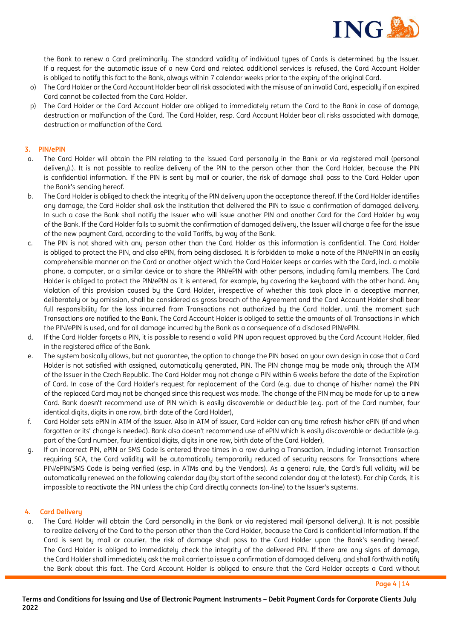

the Bank to renew a Card preliminarily. The standard validity of individual types of Cards is determined by the Issuer. If a request for the automatic issue of a new Card and related additional services is refused, the Card Account Holder is obliged to notify this fact to the Bank, always within 7 calendar weeks prior to the expiry of the original Card.

- o) The Card Holder or the Card Account Holder bear all risk associated with the misuse of an invalid Card, especially if an expired Card cannot be collected from the Card Holder.
- p) The Card Holder or the Card Account Holder are obliged to immediately return the Card to the Bank in case of damage, destruction or malfunction of the Card. The Card Holder, resp. Card Account Holder bear all risks associated with damage, destruction or malfunction of the Card.

# **3. PIN/ePIN**

- a. The Card Holder will obtain the PIN relating to the issued Card personally in the Bank or via registered mail (personal delivery).). It is not possible to realize delivery of the PIN to the person other than the Card Holder, because the PIN is confidential information. If the PIN is sent by mail or courier, the risk of damage shall pass to the Card Holder upon the Bank's sending hereof.
- b. The Card Holder is obliged to check the integrity of the PIN delivery upon the acceptance thereof. If the Card Holder identifies any damage, the Card Holder shall ask the institution that delivered the PIN to issue a confirmation of damaged delivery. In such a case the Bank shall notify the Issuer who will issue another PIN and another Card for the Card Holder by way of the Bank. If the Card Holder fails to submit the confirmation of damaged delivery, the Issuer will charge a fee for the issue of the new payment Card, according to the valid Tariffs, by way of the Bank.
- c. The PIN is not shared with any person other than the Card Holder as this information is confidential. The Card Holder is obliged to protect the PIN, and also ePIN, from being disclosed. It is forbidden to make a note of the PIN/ePIN in an easily comprehensible manner on the Card or another object which the Card Holder keeps or carries with the Card, incl. a mobile phone, a computer, or a similar device or to share the PIN/ePIN with other persons, including family members. The Card Holder is obliged to protect the PIN/ePIN as it is entered, for example, by covering the keyboard with the other hand. Any violation of this provision caused by the Card Holder, irrespective of whether this took place in a deceptive manner, deliberately or by omission, shall be considered as gross breach of the Agreement and the Card Account Holder shall bear full responsibility for the loss incurred from Transactions not authorized by the Card Holder, until the moment such Transactions are notified to the Bank. The Card Account Holder is obliged to settle the amounts of all Transactions in which the PIN/ePIN is used, and for all damage incurred by the Bank as a consequence of a disclosed PIN/ePIN.
- d. If the Card Holder forgets a PIN, it is possible to resend a valid PIN upon request approved by the Card Account Holder, filed in the registered office of the Bank.
- e. The system basically allows, but not guarantee, the option to change the PIN based on your own design in case that a Card Holder is not satisfied with assigned, automatically generated, PIN. The PIN change may be made only through the ATM of the Issuer in the Czech Republic. The Card Holder may not change a PIN within 6 weeks before the date of the Expiration of Card. In case of the Card Holder's request for replacement of the Card (e.g. due to change of his/her name) the PIN of the replaced Card may not be changed since this request was made. The change of the PIN may be made for up to a new Card. Bank doesn't recommend use of PIN which is easily discoverable or deductible (e.g. part of the Card number, four identical digits, digits in one row, birth date of the Card Holder),
- f. Card Holder sets ePIN in ATM of the Issuer. Also in ATM of Issuer, Card Holder can any time refresh his/her ePIN (if and when forgotten or its' change is needed). Bank also doesn't recommend use of ePIN which is easily discoverable or deductible (e.g. part of the Card number, four identical digits, digits in one row, birth date of the Card Holder),
- g. If an incorrect PIN, ePIN or SMS Code is entered three times in a row during a Transaction, including internet Transaction requiring SCA, the Card validity will be automatically temporarily reduced of security reasons for Transactions where PIN/ePIN/SMS Code is being verified (esp. in ATMs and by the Vendors). As a general rule, the Card's full validity will be automatically renewed on the following calendar day (by start of the second calendar day at the latest). For chip Cards, it is impossible to reactivate the PIN unless the chip Card directly connects (on-line) to the Issuer's systems.

#### **4. Card Delivery**

a. The Card Holder will obtain the Card personally in the Bank or via registered mail (personal delivery). It is not possible to realize delivery of the Card to the person other than the Card Holder, because the Card is confidential information. If the Card is sent by mail or courier, the risk of damage shall pass to the Card Holder upon the Bank's sending hereof. The Card Holder is obliged to immediately check the integrity of the delivered PIN. If there are any signs of damage, the Card Holder shall immediately ask the mail carrier to issue a confirmation of damaged delivery, and shall forthwith notify the Bank about this fact. The Card Account Holder is obliged to ensure that the Card Holder accepts a Card without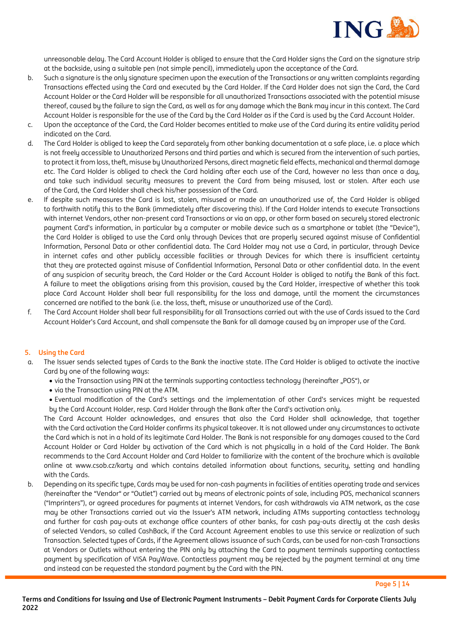

unreasonable delay. The Card Account Holder is obliged to ensure that the Card Holder signs the Card on the signature strip at the backside, using a suitable pen (not simple pencil), immediately upon the acceptance of the Card.

- b. Such a signature is the only signature specimen upon the execution of the Transactions or any written complaints regarding Transactions effected using the Card and executed by the Card Holder. If the Card Holder does not sign the Card, the Card Account Holder or the Card Holder will be responsible for all unauthorized Transactions associated with the potential misuse thereof, caused by the failure to sign the Card, as well as for any damage which the Bank may incur in this context. The Card Account Holder is responsible for the use of the Card by the Card Holder as if the Card is used by the Card Account Holder.
- c. Upon the acceptance of the Card, the Card Holder becomes entitled to make use of the Card during its entire validity period indicated on the Card.
- d. The Card Holder is obliged to keep the Card separately from other banking documentation at a safe place, i.e. a place which is not freely accessible to Unauthorized Persons and third parties and which is secured from the intervention of such parties, to protect it from loss, theft, misuse by Unauthorized Persons, direct magnetic field effects, mechanical and thermal damage etc. The Card Holder is obliged to check the Card holding after each use of the Card, however no less than once a day, and take such individual security measures to prevent the Card from being misused, lost or stolen. After each use of the Card, the Card Holder shall check his/her possession of the Card.
- e. If despite such measures the Card is lost, stolen, misused or made an unauthorized use of, the Card Holder is obliged to forthwith notify this to the Bank (immediately after discovering this). If the Card Holder intends to execute Transactions with internet Vendors, other non-present card Transactions or via an app, or other form based on securely stored electronic payment Card's information, in particular by a computer or mobile device such as a smartphone or tablet (the "Device"), the Card Holder is obliged to use the Card only through Devices that are properly secured against misuse of Confidential Information, Personal Data or other confidential data. The Card Holder may not use a Card, in particular, through Device in internet cafes and other publicly accessible facilities or through Devices for which there is insufficient certainty that they are protected against misuse of Confidential Information, Personal Data or other confidential data. In the event of any suspicion of security breach, the Card Holder or the Card Account Holder is obliged to notify the Bank of this fact. A failure to meet the obligations arising from this provision, caused by the Card Holder, irrespective of whether this took place Card Account Holder shall bear full responsibility for the loss and damage, until the moment the circumstances concerned are notified to the bank (i.e. the loss, theft, misuse or unauthorized use of the Card).
- f. The Card Account Holder shall bear full responsibility for all Transactions carried out with the use of Cards issued to the Card Account Holder's Card Account, and shall compensate the Bank for all damage caused by an improper use of the Card.

# **5. Using the Card**

- The Issuer sends selected tupes of Cards to the Bank the inactive state. IThe Card Holder is obliged to activate the inactive Card by one of the following ways:
	- via the Transaction using PIN at the terminals supporting contactless technology (hereinafter "POS"), or
	- via the Transaction using PIN at the ATM.
	- Eventual modification of the Card's settings and the implementation of other Card's services might be requested by the Card Account Holder, resp. Card Holder through the Bank after the Card's activation only.

The Card Account Holder acknowledges, and ensures that also the Card Holder shall acknowledge, that together with the Card activation the Card Holder confirms its physical takeover. It is not allowed under any circumstances to activate the Card which is not in a hold of its legitimate Card Holder. The Bank is not responsible for any damages caused to the Card Account Holder or Card Holder by activation of the Card which is not physically in a hold of the Card Holder. The Bank recommends to the Card Account Holder and Card Holder to familiarize with the content of the brochure which is available online at www.csob.cz/karty and which contains detailed information about functions, security, setting and handling with the Cards.

b. Depending on its specific type, Cards may be used for non-cash payments in facilities of entities operating trade and services (hereinafter the "Vendor" or "Outlet") carried out by means of electronic points of sale, including POS, mechanical scanners ("Imprinters"), or agreed procedures for payments at internet Vendors, for cash withdrawals via ATM network, as the case may be other Transactions carried out via the Issuer's ATM network, including ATMs supporting contactless technology and further for cash pay-outs at exchange office counters of other banks, for cash pay-outs directly at the cash desks of selected Vendors, so called CashBack, if the Card Account Agreement enables to use this service or realization of such Transaction. Selected types of Cards, if the Agreement allows issuance of such Cards, can be used for non-cash Transactions at Vendors or Outlets without entering the PIN only by attaching the Card to payment terminals supporting contactless payment by specification of VISA PayWave. Contactless payment may be rejected by the payment terminal at any time and instead can be requested the standard payment by the Card with the PIN.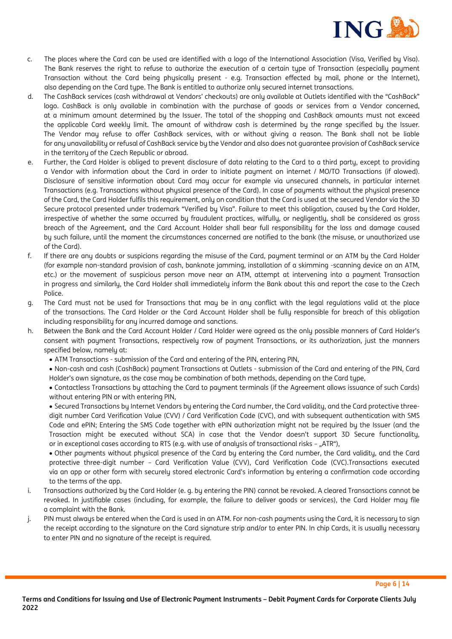

- c. The places where the Card can be used are identified with a logo of the International Association (Visa, Verified by Visa). The Bank reserves the right to refuse to authorize the execution of a certain type of Transaction (especially payment Transaction without the Card being physically present - e.g. Transaction effected by mail, phone or the Internet), also depending on the Card type. The Bank is entitled to authorize only secured internet transactions.
- d. The CashBack services (cash withdrawal at Vendors' checkouts) are only available at Outlets identified with the "CashBack" logo. CashBack is only available in combination with the purchase of goods or services from a Vendor concerned, at a minimum amount determined by the Issuer. The total of the shopping and CashBack amounts must not exceed the applicable Card weekly limit. The amount of withdraw cash is determined by the range specified by the Issuer. The Vendor may refuse to offer CashBack services, with or without giving a reason. The Bank shall not be liable for any unavailability or refusal of CashBack service by the Vendor and also does not guarantee provision of CashBack service in the territory of the Czech Republic or abroad.
- e. Further, the Card Holder is obliged to prevent disclosure of data relating to the Card to a third party, except to providing a Vendor with information about the Card in order to initiate payment on internet / MO/TO Transactions (if alowed). Disclosure of sensitive information about Card may occur for example via unsecured channels, in particular internet Transactions (e.g. Transactions without physical presence of the Card). In case of payments without the physical presence of the Card, the Card Holder fulfils this requirement, only on condition that the Card is used at the secured Vendor via the 3D Secure protocol presented under trademark "Verified by Visa". Failure to meet this obligation, caused by the Card Holder, irrespective of whether the same occurred by fraudulent practices, wilfully, or negligently, shall be considered as gross breach of the Agreement, and the Card Account Holder shall bear full responsibility for the loss and damage caused by such failure, until the moment the circumstances concerned are notified to the bank (the misuse, or unauthorized use of the Card).
- f. If there are any doubts or suspicions regarding the misuse of the Card, payment terminal or an ATM by the Card Holder (for example non-standard provision of cash, banknote jamming, installation of a skimming -scanning device on an ATM, etc.) or the movement of suspicious person move near an ATM, attempt at intervening into a payment Transaction in progress and similarly, the Card Holder shall immediately inform the Bank about this and report the case to the Czech Police.
- g. The Card must not be used for Transactions that may be in any conflict with the legal regulations valid at the place of the transactions. The Card Holder or the Card Account Holder shall be fully responsible for breach of this obligation including responsibility for any incurred damage and sanctions.
- h. Between the Bank and the Card Account Holder / Card Holder were agreed as the only possible manners of Card Holder's consent with payment Transactions, respectively row of payment Transactions, or its authorization, just the manners specified below, namely at:
	- ATM Transactions submission of the Card and entering of the PIN, entering PIN,
	- Non-cash and cash (CashBack) payment Transactions at Outlets submission of the Card and entering of the PIN, Card Holder's own signature, as the case may be combination of both methods, depending on the Card type,
	- Contactless Transactions bu attaching the Card to payment terminals (if the Agreement allows issuance of such Cards) without entering PIN or with entering PIN,
	- Secured Transactions by Internet Vendors by entering the Card number, the Card validity, and the Card protective threedigit number Card Verification Value (CVV) / Card Verification Code (CVC), and with subsequent authentication with SMS Code and ePIN; Entering the SMS Code together with ePIN authorization might not be required by the Issuer (and the Trasaction might be executed without SCA) in case that the Vendor doesn't support 3D Secure functionality, or in exceptional cases according to RTS (e.g. with use of analysis of transactional risks - "ATR"),

• Other payments without physical presence of the Card by entering the Card number, the Card validity, and the Card protective three-digit number – Card Verification Value (CVV), Card Verification Code (CVC).Transactions executed via an app or other form with securely stored electronic Card's information by entering a confirmation code according to the terms of the app.

- i. Transactions authorized by the Card Holder (e. g. by entering the PIN) cannot be revoked. A cleared Transactions cannot be revoked. In justifiable cases (including, for example, the failure to deliver goods or services), the Card Holder may file a complaint with the Bank.
- j. PIN must always be entered when the Card is used in an ATM. For non-cash payments using the Card, it is necessary to sign the receipt according to the signature on the Card signature strip and/or to enter PIN. In chip Cards, it is usually necessary to enter PIN and no signature of the receipt is required.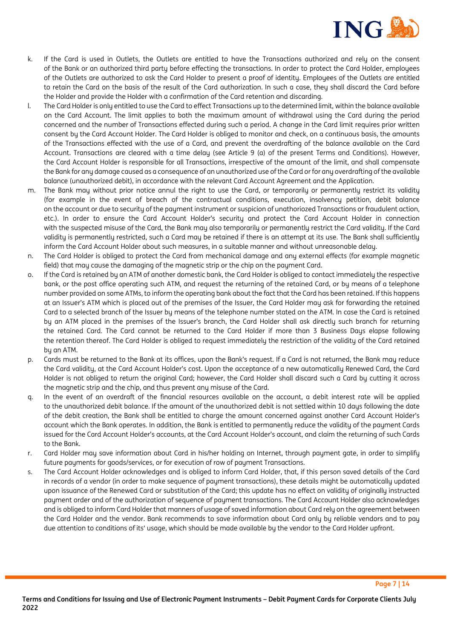

- k. If the Card is used in Outlets, the Outlets are entitled to have the Transactions authorized and rely on the consent of the Bank or an authorized third party before effecting the transactions. In order to protect the Card Holder, employees of the Outlets are authorized to ask the Card Holder to present a proof of identity. Employees of the Outlets are entitled to retain the Card on the basis of the result of the Card authorization. In such a case, they shall discard the Card before the Holder and provide the Holder with a confirmation of the Card retention and discarding.
- l. The Card Holder is only entitled to use the Card to effect Transactions up to the determined limit, within the balance available on the Card Account. The limit applies to both the maximum amount of withdrawal using the Card during the period concerned and the number of Transactions effected during such a period. A change in the Card limit requires prior written consent by the Card Account Holder. The Card Holder is obliged to monitor and check, on a continuous basis, the amounts of the Transactions effected with the use of a Card, and prevent the overdrafting of the balance available on the Card Account. Transactions are cleared with a time delay (see Article 9 (a) of the present Terms and Conditions). However, the Card Account Holder is responsible for all Transactions, irrespective of the amount of the limit, and shall compensate the Bank for any damage caused as a consequence of an unauthorized use of the Card or for any overdrafting of the available balance (unauthorized debit), in accordance with the relevant Card Account Agreement and the Application.
- m. The Bank may without prior notice annul the right to use the Card, or temporarily or permanently restrict its validity (for example in the event of breach of the contractual conditions, execution, insolvency petition, debit balance on the account or due to security of the payment instrument or suspicion of unathoriozed Transactions or fraudulent action, etc.). In order to ensure the Card Account Holder's security and protect the Card Account Holder in connection with the suspected misuse of the Card, the Bank may also temporarily or permanently restrict the Card validity. If the Card validity is permanently restricted, such a Card may be retained if there is an attempt at its use. The Bank shall sufficiently inform the Card Account Holder about such measures, in a suitable manner and without unreasonable delay.
- n. The Card Holder is obliged to protect the Card from mechanical damage and any external effects (for example magnetic field) that may cause the damaging of the magnetic strip or the chip on the payment Card.
- o. If the Card is retained by an ATM of another domestic bank, the Card Holder is obliged to contact immediately the respective bank, or the post office operating such ATM, and request the returning of the retained Card, or by means of a telephone number provided on some ATMs, to inform the operating bank about the fact that the Card has been retained. If this happens at an Issuer's ATM which is placed out of the premises of the Issuer, the Card Holder may ask for forwarding the retained Card to a selected branch of the Issuer by means of the telephone number stated on the ATM. In case the Card is retained by an ATM placed in the premises of the Issuer's branch, the Card Holder shall ask directly such branch for returning the retained Card. The Card cannot be returned to the Card Holder if more than 3 Business Days elapse following the retention thereof. The Card Holder is obliged to request immediately the restriction of the validity of the Card retained by an ATM.
- p. Cards must be returned to the Bank at its offices, upon the Bank's request. If a Card is not returned, the Bank may reduce the Card validity, at the Card Account Holder's cost. Upon the acceptance of a new automatically Renewed Card, the Card Holder is not obliged to return the original Card; however, the Card Holder shall discard such a Card by cutting it across the magnetic strip and the chip, and thus prevent any misuse of the Card.
- q. In the event of an overdraft of the financial resources available on the account, a debit interest rate will be applied to the unauthorized debit balance. If the amount of the unauthorized debit is not settled within 10 days following the date of the debit creation, the Bank shall be entitled to charge the amount concerned against another Card Account Holder's account which the Bank operates. In addition, the Bank is entitled to permanently reduce the validity of the payment Cards issued for the Card Account Holder's accounts, at the Card Account Holder's account, and claim the returning of such Cards to the Bank.
- r. Card Holder may save information about Card in his/her holding on Internet, through payment gate, in order to simplify future payments for goods/services, or for execution of row of payment Transactions.
- s. The Card Account Holder acknowledges and is obliged to inform Card Holder, that, if this person saved details of the Card in records of a vendor (in order to make sequence of payment transactions), these details might be automatically updated upon issuance of the Renewed Card or substitution of the Card; this update has no effect on validity of originally instructed payment order and of the authorization of sequence of payment transactions. The Card Account Holder also acknowledges and is obliged to inform Card Holder that manners of usage of saved information about Card rely on the agreement between the Card Holder and the vendor. Bank recommends to save information about Card only by reliable vendors and to pay due attention to conditions of its' usage, which should be made available by the vendor to the Card Holder upfront.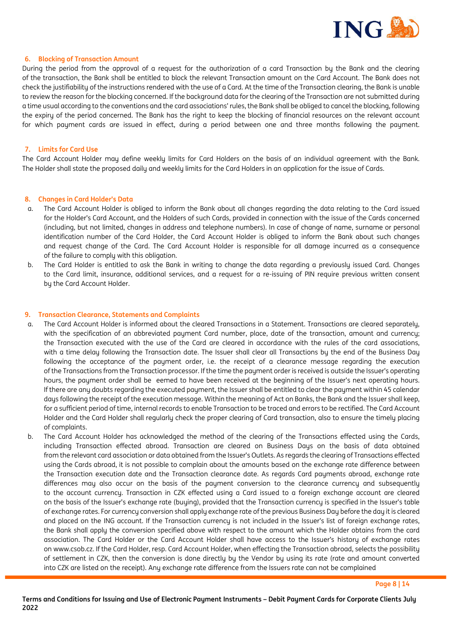

# **6. Blocking of Transaction Amount**

During the period from the approval of a request for the authorization of a card Transaction by the Bank and the clearing of the transaction, the Bank shall be entitled to block the relevant Transaction amount on the Card Account. The Bank does not check the justifiability of the instructions rendered with the use of a Card. At the time of the Transaction clearing, the Bank is unable to review the reason for the blocking concerned. If the background data for the clearing of the Transaction are not submitted during a time usual according to the conventions and the card associations' rules, the Bank shall be obliged to cancel the blocking, following the expiry of the period concerned. The Bank has the right to keep the blocking of financial resources on the relevant account for which payment cards are issued in effect, during a period between one and three months following the payment.

#### **7. Limits for Card Use**

The Card Account Holder may define weekly limits for Card Holders on the basis of an individual agreement with the Bank. The Holder shall state the proposed daily and weekly limits for the Card Holders in an application for the issue of Cards.

#### **8. Changes in Card Holder's Data**

- a. The Card Account Holder is obliged to inform the Bank about all changes regarding the data relating to the Card issued for the Holder's Card Account, and the Holders of such Cards, provided in connection with the issue of the Cards concerned (including, but not limited, changes in address and telephone numbers). In case of change of name, surname or personal identification number of the Card Holder, the Card Account Holder is obliged to inform the Bank about such changes and request change of the Card. The Card Account Holder is responsible for all damage incurred as a consequence of the failure to comply with this obligation.
- b. The Card Holder is entitled to ask the Bank in writing to change the data regarding a previously issued Card. Changes to the Card limit, insurance, additional services, and a request for a re-issuing of PIN require previous written consent by the Card Account Holder.

#### **9. Transaction Clearance, Statements and Complaints**

- a. The Card Account Holder is informed about the cleared Transactions in a Statement. Transactions are cleared separately, with the specification of an abbreviated payment Card number, place, date of the transaction, amount and currency; the Transaction executed with the use of the Card are cleared in accordance with the rules of the card associations, with a time delay following the Transaction date. The Issuer shall clear all Transactions by the end of the Business Day following the acceptance of the payment order, i.e. the receipt of a clearance message regarding the execution of the Transactions from the Transaction processor. If the time the payment order is received is outside the Issuer's operating hours, the payment order shall be eemed to have been received at the beginning of the Issuer's next operating hours. If there are any doubts regarding the executed payment, the Issuer shall be entitled to clear the payment within 45 calendar days following the receipt of the execution message. Within the meaning of Act on Banks, the Bank and the Issuer shall keep, for a sufficient period of time, internal records to enable Transaction to be traced and errors to be rectified. The Card Account Holder and the Card Holder shall regularly check the proper clearing of Card transaction, also to ensure the timely placing of complaints.
- b. The Card Account Holder has acknowledged the method of the clearing of the Transactions effected using the Cards, including Transaction effected abroad. Transaction are cleared on Business Days on the basis of data obtained from the relevant card association or data obtained from the Issuer's Outlets. As regards the clearing of Transactions effected using the Cards abroad, it is not possible to complain about the amounts based on the exchange rate difference between the Transaction execution date and the Transaction clearance date. As regards Card payments abroad, exchange rate differences may also occur on the basis of the payment conversion to the clearance currency and subsequently to the account currency. Transaction in CZK effected using a Card issued to a foreign exchange account are cleared on the basis of the Issuer's exchange rate (buying), provided that the Transaction currency is specified in the Issuer's table of exchange rates. For currency conversion shall apply exchange rate of the previous Business Day before the day it is cleared and placed on the ING account. If the Transaction currency is not included in the Issuer's list of foreign exchange rates, the Bank shall apply the conversion specified above with respect to the amount which the Holder obtains from the card association. The Card Holder or the Card Account Holder shall have access to the Issuer's history of exchange rates on www.csob.cz. If the Card Holder, resp. Card Account Holder, when effecting the Transaction abroad, selects the possibility of settlement in CZK, then the conversion is done directly by the Vendor by using its rate (rate and amount converted into CZK are listed on the receipt). Any exchange rate difference from the Issuers rate can not be complained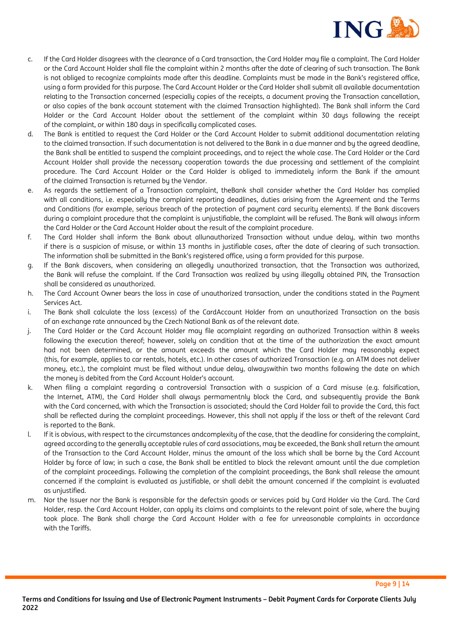

- c. If the Card Holder disagrees with the clearance of a Card transaction, the Card Holder may file a complaint. The Card Holder or the Card Account Holder shall file the complaint within 2 months after the date of clearing of such transaction. The Bank is not obliged to recognize complaints made after this deadline. Complaints must be made in the Bank's registered office, using a form provided for this purpose. The Card Account Holder or the Card Holder shall submit all available documentation relating to the Transaction concerned (especially copies of the receipts, a document proving the Transaction cancellation, or also copies of the bank account statement with the claimed Transaction highlighted). The Bank shall inform the Card Holder or the Card Account Holder about the settlement of the complaint within 30 days following the receipt of the complaint, or within 180 days in specifically complicated cases.
- d. The Bank is entitled to request the Card Holder or the Card Account Holder to submit additional documentation relating to the claimed transaction. If such documentation is not delivered to the Bank in a due manner and by the agreed deadline, the Bank shall be entitled to suspend the complaint proceedings, and to reject the whole case. The Card Holder or the Card Account Holder shall provide the necessary cooperation towards the due processing and settlement of the complaint procedure. The Card Account Holder or the Card Holder is obliged to immediately inform the Bank if the amount of the claimed Transaction is returned bu the Vendor.
- e. As regards the settlement of a Transaction complaint, theBank shall consider whether the Card Holder has complied with all conditions, i.e. especially the complaint reporting deadlines, duties arising from the Agreement and the Terms and Conditions (for example, serious breach of the protection of payment card security elements). If the Bank discovers during a complaint procedure that the complaint is unjustifiable, the complaint will be refused. The Bank will always inform the Card Holder or the Card Account Holder about the result of the complaint procedure.
- f. The Card Holder shall inform the Bank about allunauthorized Transaction without undue delay, within two months if there is a suspicion of misuse, or within 13 months in justifiable cases, after the date of clearing of such transaction. The information shall be submitted in the Bank's registered office, using a form provided for this purpose.
- g. If the Bank discovers, when considering an allegedly unauthorized transaction, that the Transaction was authorized, the Bank will refuse the complaint. If the Card Transaction was realized by using illegally obtained PIN, the Transaction shall be considered as unauthorized.
- h. The Card Account Owner bears the loss in case of unauthorized transaction, under the conditions stated in the Payment Services Act.
- i. The Bank shall calculate the loss (excess) of the CardAccount Holder from an unauthorized Transaction on the basis of an exchange rate announced by the Czech National Bank as of the relevant date.
- j. The Card Holder or the Card Account Holder may file acomplaint regarding an authorized Transaction within 8 weeks following the execution thereof; however, solely on condition that at the time of the authorization the exact amount had not been determined, or the amount exceeds the amount which the Card Holder may reasonably expect (this, for example, applies to car rentals, hotels, etc.). In other cases of authorized Transaction (e.g. an ATM does not deliver money, etc.), the complaint must be filed without undue delay, alwayswithin two months following the date on which the money is debited from the Card Account Holder's account.
- k. When filing a complaint regarding a controversial Transaction with a suspicion of a Card misuse (e.g. falsification, the Internet, ATM), the Card Holder shall always permamentnly block the Card, and subsequently provide the Bank with the Card concerned, with which the Transaction is associated; should the Card Holder fail to provide the Card, this fact shall be reflected during the complaint proceedings. However, this shall not apply if the loss or theft of the relevant Card is reported to the Bank.
- l. If it is obvious, with respect to the circumstances andcomplexity of the case, that the deadline for considering the complaint, agreed according to the generally acceptable rules of card associations, may be exceeded, the Bank shall return the amount of the Transaction to the Card Account Holder, minus the amount of the loss which shall be borne by the Card Account Holder by force of law; in such a case, the Bank shall be entitled to block the relevant amount until the due completion of the complaint proceedings. Following the completion of the complaint proceedings, the Bank shall release the amount concerned if the complaint is evaluated as justifiable, or shall debit the amount concerned if the complaint is evaluated as unjustified.
- m. Nor the Issuer nor the Bank is responsible for the defectsin goods or services paid by Card Holder via the Card. The Card Holder, resp. the Card Account Holder, can apply its claims and complaints to the relevant point of sale, where the buying took place. The Bank shall charge the Card Account Holder with a fee for unreasonable complaints in accordance with the Tariffs.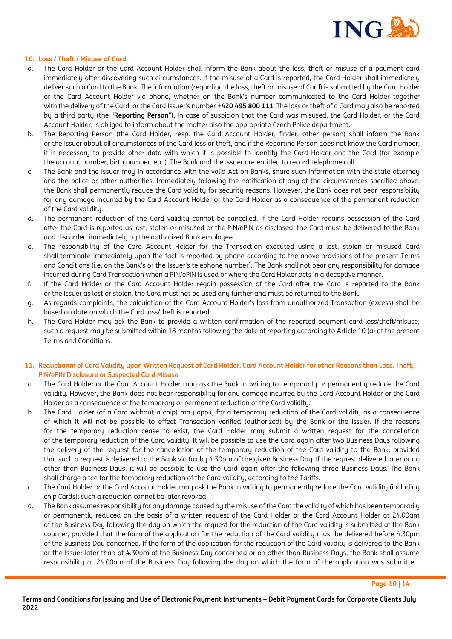

# **10. Loss / Theft / Misuse of Card**

- a. The Card Holder or the Card Account Holder shall inform the Bank about the loss, theft or misuse of a payment card immediately after discovering such circumstances. If the misuse of a Card is reported, the Card Holder shall immediately deliver such a Card to the Bank. The information (regarding the loss, theft or misuse of Card) is submitted by the Card Holder or the Card Account Holder via phone, whether on the Bank's number communicated to the Card Holder together with the delivery of the Card, or the Card Issuer's number **+420 495 800 111**. The loss or theft of a Card may also be reported by a third party (the "**Reporting Person**"). In case of suspicion that the Card was misused, the Card Holder, or the Card Account Holder, is obliged to inform about the matter also the appropriate Czech Police department.
- b. The Reporting Person (the Card Holder, resp. the Card Account Holder, finder, other person) shall inform the Bank or the Issuer about all circumstances of the Card loss or theft, and if the Reporting Person does not know the Card number, it is necessary to provide other data with which it is possible to identify the Card Holder and the Card (for example the account number, birth number, etc.). The Bank and the Issuer are entitled to record telephone call.
- c. The Bank and the Issuer may in accordance with the valid Act on Banks, share such information with the state attorney and the police or other authorities. Immediately following the notification of any of the circumstances specified above, the Bank shall permanently reduce the Card validity for security reasons. However, the Bank does not bear responsibility for any damage incurred by the Card Account Holder or the Card Holder as a consequence of the permanent reduction of the Card validity.
- d. The permanent reduction of the Card validity cannot be cancelled. If the Card Holder regains possession of the Card after the Card is reported as lost, stolen or misused or the PIN/ePIN as disclosed, the Card must be delivered to the Bank and discarded immediately by the authorized Bank employee.
- e. The responsibility of the Card Account Holder for the Transaction executed using a lost, stolen or misused Card shall terminate immediately upon the fact is reported by phone according to the above provisions of the present Terms and Conditions (i.e. on the Bank's or the Issuer's telephone number). The Bank shall not bear any responsibility for damage incurred during Card Transaction when a PIN/ePIN is used or where the Card Holder acts in a deceptive manner.
- f. If the Card Holder or the Card Account Holder regain possession of the Card after the Card is reported to the Bank or the Issuer as lost or stolen, the Card must not be used any further and must be returned to the Bank.
- g. As regards complaints, the calculation of the Card Account Holder's loss from unauthorized Transaction (excess) shall be based on date on which the Card loss/theft is reported.
- h. The Card Holder may ask the Bank to provide a written confirmation of the reported payment card loss/theft/misuse; such a request may be submitted within 18 months following the date of reporting according to Article 10 (a) of the present Terms and Conditions.

# **11. Reductionm of Card Validity upon Written Request of Card Holder, Card Account Holder for other Reasons than Loss, Theft, PIN/ePIN Disclosure or Suspected Card Misuse**

- a. The Card Holder or the Card Account Holder may ask the Bank in writing to temporarily or permanently reduce the Card validity. However, the Bank does not bear responsibility for any damage incurred by the Card Account Holder or the Card Holder as a consequence of the temporary or permanent reduction of the Card validity.
- b. The Card Holder (of a Card without a chip) may apply for a temporary reduction of the Card validity as a consequence of which it will not be possible to effect Transaction verified (authorized) by the Bank or the Issuer. If the reasons for the temporary reduction cease to exist, the Card Holder may submit a written request for the cancellation of the temporary reduction of the Card validity. It will be possible to use the Card again after two Business Days following the delivery of the request for the cancellation of the temporary reduction of the Card validity to the Bank, provided that such a request is delivered to the Bank via fax by 4.30pm of the given Business Day. If the request delivered later or on other than Business Days, it will be possible to use the Card again after the following three Business Days. The Bank shall charge a fee for the temporary reduction of the Card validity, according to the Tariffs.
- c. The Card Holder or the Card Account Holder may ask the Bank in writing to permanently reduce the Card validity (including chip Cards); such a reduction cannot be later revoked.
- d. The Bank assumes responsibility for any damage caused by the misuse of the Card the validity of which has been temporarily or permanently reduced on the basis of a written request of the Card Holder or the Card Account Holder at 24.00am of the Business Day following the day on which the request for the reduction of the Card validity is submitted at the Bank counter, provided that the form of the application for the reduction of the Card validity must be delivered before 4.30pm of the Business Day concerned. If the form of the application for the reduction of the Card validity is delivered to the Bank or the Issuer later than at 4.30pm of the Business Day concerned or on other than Business Days, the Bank shall assume responsibility at 24.00am of the Business Day following the day on which the form of the application was submitted.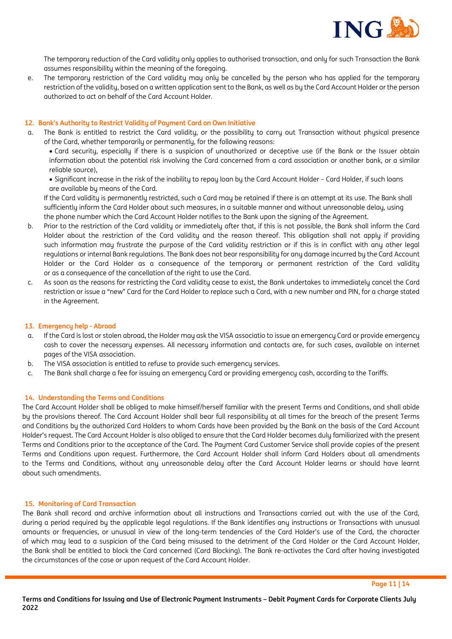

The temporary reduction of the Card validity only applies to authorised transaction, and only for such Transaction the Bank assumes responsibility within the meaning of the foregoing.

e. The temporary restriction of the Card validity may only be cancelled by the person who has applied for the temporary restriction of the validity, based on a written application sent to the Bank, as well as by the Card Account Holder or the person authorized to act on behalf of the Card Account Holder.

# **12. Bank's Authority to Restrict Validity of Payment Card on Own Initiative**

a. The Bank is entitled to restrict the Card validity, or the possibility to carry out Transaction without physical presence of the Card, whether temporarily or permanently, for the following reasons:

• Card security, especially if there is a suspicion of unauthorized or deceptive use (if the Bank or the Issuer obtain information about the potential risk involving the Card concerned from a card association or another bank, or a similar reliable source),

• Significant increase in the risk of the inability to repay loan by the Card Account Holder – Card Holder, if such loans are available by means of the Card.

If the Card validitu is permanently restricted, such a Card may be retained if there is an attempt at its use. The Bank shall sufficiently inform the Card Holder about such measures, in a suitable manner and without unreasonable delay, using the phone number which the Card Account Holder notifies to the Bank upon the signing of the Agreement.

- b. Prior to the restriction of the Card validity or immediately after that, if this is not possible, the Bank shall inform the Card Holder about the restriction of the Card validity and the reason thereof. This obligation shall not apply if providing such information may frustrate the purpose of the Card validity restriction or if this is in conflict with any other legal regulations or internal Bank regulations. The Bank does not bear responsibility for any damage incurred by the Card Account Holder or the Card Holder as a consequence of the temporary or permanent restriction of the Card validity or as a consequence of the cancellation of the right to use the Card.
- c. As soon as the reasons for restricting the Card validity cease to exist, the Bank undertakes to immediately cancel the Card restriction or issue a "new" Card for the Card Holder to replace such a Card, with a new number and PIN, for a charge stated in the Agreement.

#### **13. Emergency help - Abroad**

- a. If the Card is lost or stolen abroad, the Holder may ask the VISA associatio to issue an emergency Card or provide emergency cash to cover the necessary expenses. All necessary information and contacts are, for such cases, available on internet pages of the VISA association.
- b. The VISA association is entitled to refuse to provide such emergency services.
- c. The Bank shall charge a fee for issuing an emergency Card or providing emergency cash, according to the Tariffs.

#### **14. Understanding the Terms and Conditions**

The Card Account Holder shall be obliged to make himself/herself familiar with the present Terms and Conditions, and shall abide by the provisions thereof. The Card Account Holder shall bear full responsibility at all times for the breach of the present Terms and Conditions by the authorized Card Holders to whom Cards have been provided by the Bank on the basis of the Card Account Holder's request. The Card Account Holder is also obliged to ensure that the Card Holder becomes duly familiarized with the present Terms and Conditions prior to the acceptance of the Card. The Payment Card Customer Service shall provide copies of the present Terms and Conditions upon request. Furthermore, the Card Account Holder shall inform Card Holders about all amendments to the Terms and Conditions, without any unreasonable delay after the Card Account Holder learns or should have learnt about such amendments.

# **15. Monitoring of Card Transaction**

The Bank shall record and archive information about all instructions and Transactions carried out with the use of the Card, during a period required by the applicable legal regulations. If the Bank identifies any instructions or Transactions with unusual amounts or frequencies, or unusual in view of the long-term tendencies of the Card Holder's use of the Card, the character of which may lead to a suspicion of the Card being misused to the detriment of the Card Holder or the Card Account Holder, the Bank shall be entitled to block the Card concerned (Card Blocking). The Bank re-activates the Card after having investigated the circumstances of the case or upon request of the Card Account Holder.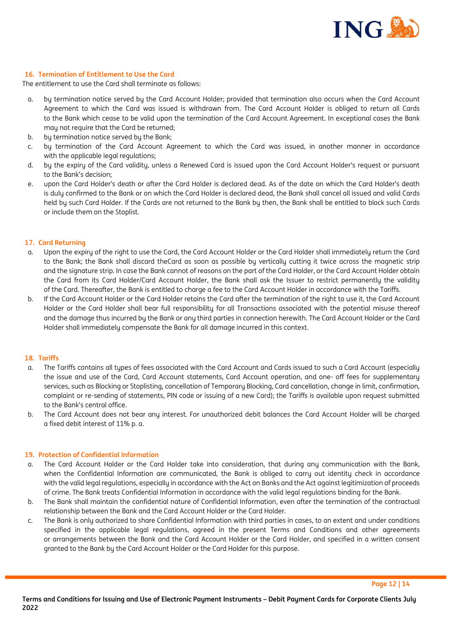

# **16. Termination of Entitlement to Use the Card**

The entitlement to use the Card shall terminate as follows:

- a. by termination notice served by the Card Account Holder; provided that termination also occurs when the Card Account Agreement to which the Card was issued is withdrawn from. The Card Account Holder is obliged to return all Cards to the Bank which cease to be valid upon the termination of the Card Account Agreement. In exceptional cases the Bank may not require that the Card be returned;
- b. by termination notice served by the Bank;
- c. by termination of the Card Account Agreement to which the Card was issued, in another manner in accordance with the applicable legal regulations:
- d. by the expiry of the Card validity, unless a Renewed Card is issued upon the Card Account Holder's request or pursuant to the Bank's decision;
- e. upon the Card Holder's death or after the Card Holder is declared dead. As of the date on which the Card Holder's death is duly confirmed to the Bank or on which the Card Holder is declared dead, the Bank shall cancel all issued and valid Cards held by such Card Holder. If the Cards are not returned to the Bank by then, the Bank shall be entitled to block such Cards or include them on the Stoplist.

#### **17. Card Returning**

- a. Upon the expiry of the right to use the Card, the Card Account Holder or the Card Holder shall immediately return the Card to the Bank; the Bank shall discard theCard as soon as possible by vertically cutting it twice across the magnetic strip and the signature strip. In case the Bank cannot of reasons on the part of the Card Holder, or the Card Account Holder obtain the Card from its Card Holder/Card Account Holder, the Bank shall ask the Issuer to restrict permanently the validity of the Card. Thereafter, the Bank is entitled to charge a fee to the Card Account Holder in accordance with the Tariffs.
- b. If the Card Account Holder or the Card Holder retains the Card after the termination of the right to use it, the Card Account Holder or the Card Holder shall bear full responsibility for all Transactions associated with the potential misuse thereof and the damage thus incurred by the Bank or any third parties in connection herewith. The Card Account Holder or the Card Holder shall immediately compensate the Bank for all damage incurred in this context.

#### **18. Tariffs**

- a. The Tariffs contains all types of fees associated with the Card Account and Cards issued to such a Card Account (especially the issue and use of the Card, Card Account statements, Card Account operation, and one- off fees for supplementary services, such as Blocking or Stoplisting, cancellation of Temporary Blocking, Card cancellation, change in limit, confirmation, complaint or re-sending of statements, PIN code or issuing of a new Card); the Tariffs is available upon request submitted to the Bank's central office.
- b. The Card Account does not bear any interest. For unauthorized debit balances the Card Account Holder will be charged a fixed debit interest of 11% p. a.

#### **19. Protection of Confidential Information**

- a. The Card Account Holder or the Card Holder take into consideration, that during any communication with the Bank, when the Confidential Information are communicated, the Bank is obliged to carry out identity check in accordance with the valid legal regulations, especially in accordance with the Act on Banks and the Act against legitimization of proceeds of crime. The Bank treats Confidential Information in accordance with the valid legal regulations binding for the Bank.
- b. The Bank shall maintain the confidential nature of Confidential Information, even after the termination of the contractual relationship between the Bank and the Card Account Holder or the Card Holder.
- c. The Bank is only authorized to share Confidential Information with third parties in cases, to an extent and under conditions specified in the applicable legal regulations, agreed in the present Terms and Conditions and other agreements or arrangements between the Bank and the Card Account Holder or the Card Holder, and specified in a written consent granted to the Bank by the Card Account Holder or the Card Holder for this purpose.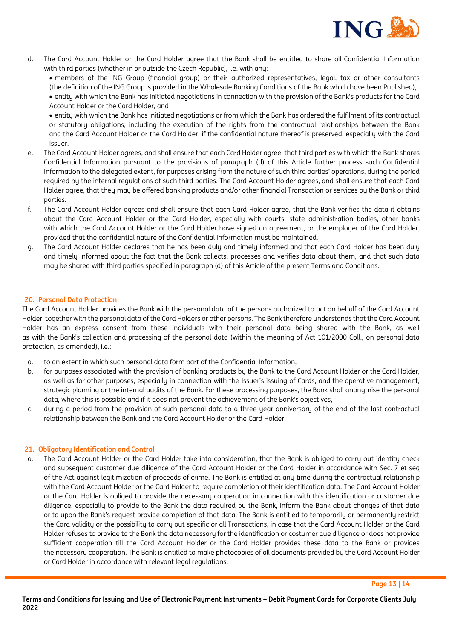

d. The Card Account Holder or the Card Holder agree that the Bank shall be entitled to share all Confidential Information with third parties (whether in or outside the Czech Republic), i.e. with any:

• members of the ING Group (financial group) or their authorized representatives, legal, tax or other consultants (the definition of the ING Group is provided in the Wholesale Banking Conditions of the Bank which have been Published),

• entity with which the Bank has initiated negotiations in connection with the provision of the Bank's products for the Card Account Holder or the Card Holder, and

• entity with which the Bank has initiated negotiations or from which the Bank has ordered the fulfilment of its contractual or statutory obligations, including the execution of the rights from the contractual relationships between the Bank and the Card Account Holder or the Card Holder, if the confidential nature thereof is preserved, especially with the Card Issuer.

- e. The Card Account Holder agrees, and shall ensure that each Card Holder agree, that third parties with which the Bank shares Confidential Information pursuant to the provisions of paragraph (d) of this Article further process such Confidential Information to the delegated extent, for purposes arising from the nature of such third parties' operations, during the period required by the internal regulations of such third parties. The Card Account Holder agrees, and shall ensure that each Card Holder agree, that they may be offered banking products and/or other financial Transaction or services by the Bank or third parties.
- f. The Card Account Holder agrees and shall ensure that each Card Holder agree, that the Bank verifies the data it obtains about the Card Account Holder or the Card Holder, especially with courts, state administration bodies, other banks with which the Card Account Holder or the Card Holder have signed an agreement, or the employer of the Card Holder, provided that the confidential nature of the Confidential Information must be maintained.
- g. The Card Account Holder declares that he has been duly and timely informed and that each Card Holder has been duly and timely informed about the fact that the Bank collects, processes and verifies data about them, and that such data may be shared with third parties specified in paragraph (d) of this Article of the present Terms and Conditions.

# **20. Personal Data Protection**

The Card Account Holder provides the Bank with the personal data of the persons authorized to act on behalf of the Card Account Holder, together with the personal data of the Card Holders or other persons. The Bank therefore understands that the Card Account Holder has an express consent from these individuals with their personal data being shared with the Bank, as well as with the Bank's collection and processing of the personal data (within the meaning of Act 101/2000 Coll., on personal data protection, as amended), i.e.:

- a. to an extent in which such personal data form part of the Confidential Information,
- b. for purposes associated with the provision of banking products by the Bank to the Card Account Holder or the Card Holder, as well as for other purposes, especially in connection with the Issuer's issuing of Cards, and the operative management, strategic planning or the internal audits of the Bank. For these processing purposes, the Bank shall anonymise the personal data, where this is possible and if it does not prevent the achievement of the Bank's objectives,
- c. during a period from the provision of such personal data to a three-year anniversary of the end of the last contractual relationship between the Bank and the Card Account Holder or the Card Holder.

# **21. Obligatory Identification and Control**

a. The Card Account Holder or the Card Holder take into consideration, that the Bank is obliged to carry out identity check and subsequent customer due diligence of the Card Account Holder or the Card Holder in accordance with Sec. 7 et seq of the Act against legitimization of proceeds of crime. The Bank is entitled at any time during the contractual relationship with the Card Account Holder or the Card Holder to require completion of their identification data. The Card Account Holder or the Card Holder is obliged to provide the necessary cooperation in connection with this identification or customer due diligence, especially to provide to the Bank the data required by the Bank, inform the Bank about changes of that data or to upon the Bank's request provide completion of that data. The Bank is entitled to temporarily or permanently restrict the Card validity or the possibility to carry out specific or all Transactions, in case that the Card Account Holder or the Card Holder refuses to provide to the Bank the data necessary for the identification or costumer due diligence or does not provide sufficient cooperation till the Card Account Holder or the Card Holder provides these data to the Bank or provides the necessary cooperation. The Bank is entitled to make photocopies of all documents provided by the Card Account Holder or Card Holder in accordance with relevant legal regulations.